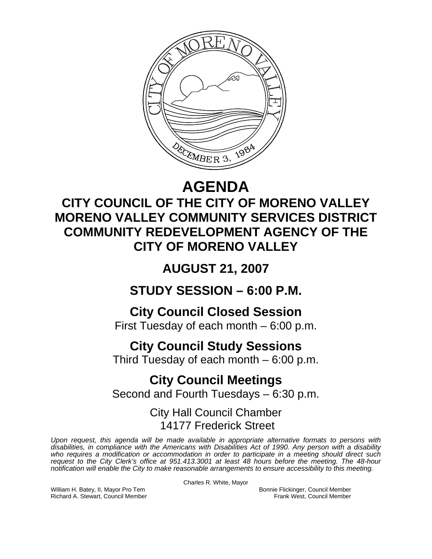

## **AGENDA**

### **CITY COUNCIL OF THE CITY OF MORENO VALLEY MORENO VALLEY COMMUNITY SERVICES DISTRICT COMMUNITY REDEVELOPMENT AGENCY OF THE CITY OF MORENO VALLEY**

### **AUGUST 21, 2007**

**STUDY SESSION – 6:00 P.M.** 

## **City Council Closed Session**

First Tuesday of each month – 6:00 p.m.

### **City Council Study Sessions**

Third Tuesday of each month – 6:00 p.m.

# **City Council Meetings**

Second and Fourth Tuesdays – 6:30 p.m.

#### City Hall Council Chamber 14177 Frederick Street

*Upon request, this agenda will be made available in appropriate alternative formats to persons with disabilities, in compliance with the Americans with Disabilities Act of 1990. Any person with a disability*  who requires a modification or accommodation in order to participate in a meeting should direct such *request to the City Clerk's office at 951.413.3001 at least 48 hours before the meeting. The 48-hour notification will enable the City to make reasonable arrangements to ensure accessibility to this meeting.* 

Charles R. White, Mayor

William H. Batey, II, Mayor Pro Tem **Bonnie Flickinger, Council Member**<br>Richard A. Stewart, Council Member **Bonnie Flickinger, Council Member** Frank West, Council Member Richard A. Stewart, Council Member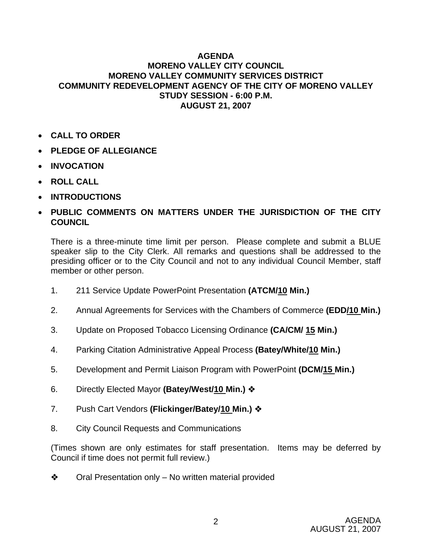#### **AGENDA MORENO VALLEY CITY COUNCIL MORENO VALLEY COMMUNITY SERVICES DISTRICT COMMUNITY REDEVELOPMENT AGENCY OF THE CITY OF MORENO VALLEY STUDY SESSION - 6:00 P.M. AUGUST 21, 2007**

- **CALL TO ORDER**
- **PLEDGE OF ALLEGIANCE**
- **INVOCATION**
- **ROLL CALL**
- **INTRODUCTIONS**
- **PUBLIC COMMENTS ON MATTERS UNDER THE JURISDICTION OF THE CITY COUNCIL**

There is a three-minute time limit per person. Please complete and submit a BLUE speaker slip to the City Clerk. All remarks and questions shall be addressed to the presiding officer or to the City Council and not to any individual Council Member, staff member or other person.

- 1. 211 Service Update PowerPoint Presentation **(ATCM/10 Min.)**
- 2. Annual Agreements for Services with the Chambers of Commerce **(EDD/10 Min.)**
- 3. Update on Proposed Tobacco Licensing Ordinance **(CA/CM/ 15 Min.)**
- 4. Parking Citation Administrative Appeal Process **(Batey/White/10 Min.)**
- 5. Development and Permit Liaison Program with PowerPoint **(DCM/15 Min.)**
- 6. Directly Elected Mayor **(Batey/West/10 Min.)**
- 7. Push Cart Vendors **(Flickinger/Batey/10 Min.)**
- 8. City Council Requests and Communications

(Times shown are only estimates for staff presentation. Items may be deferred by Council if time does not permit full review.)

 $\triangleleft$  Oral Presentation only – No written material provided